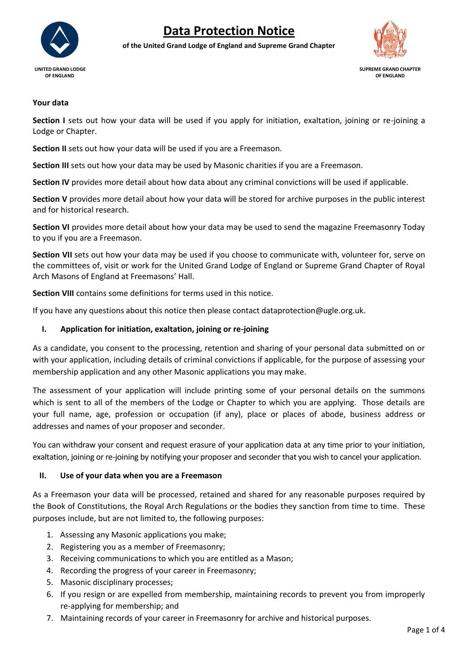

# **Data Protection Notice**

**of the United Grand Lodge of England and Supreme Grand Chapter**



 **UNITED GRAND LODGE SUPREME GRAND CHAPTER**

#### **Your data**

**Section I** sets out how your data will be used if you apply for initiation, exaltation, joining or re-joining a Lodge or Chapter.

**Section II** sets out how your data will be used if you are a Freemason.

**Section III** sets out how your data may be used by Masonic charities if you are a Freemason.

**Section IV** provides more detail about how data about any criminal convictions will be used if applicable.

**Section V** provides more detail about how your data will be stored for archive purposes in the public interest and for historical research.

**Section VI** provides more detail about how your data may be used to send the magazine Freemasonry Today to you if you are a Freemason.

**Section VII** sets out how your data may be used if you choose to communicate with, volunteer for, serve on the committees of, visit or work for the United Grand Lodge of England or Supreme Grand Chapter of Royal Arch Masons of England at Freemasons' Hall.

**Section VIII** contains some definitions for terms used in this notice.

If you have any questions about this notice then please contact dataprotection@ugle.org.uk.

### **I. Application for initiation, exaltation, joining or re-joining**

As a candidate, you consent to the processing, retention and sharing of your personal data submitted on or with your application, including details of criminal convictions if applicable, for the purpose of assessing your membership application and any other Masonic applications you may make.

The assessment of your application will include printing some of your personal details on the summons which is sent to all of the members of the Lodge or Chapter to which you are applying. Those details are your full name, age, profession or occupation (if any), place or places of abode, business address or addresses and names of your proposer and seconder.

You can withdraw your consent and request erasure of your application data at any time prior to your initiation, exaltation, joining or re-joining by notifying your proposer and seconder that you wish to cancel your application.

### **II. Use of your data when you are a Freemason**

As a Freemason your data will be processed, retained and shared for any reasonable purposes required by the Book of Constitutions, the Royal Arch Regulations or the bodies they sanction from time to time. These purposes include, but are not limited to, the following purposes:

- 1. Assessing any Masonic applications you make;
- 2. Registering you as a member of Freemasonry;
- 3. Receiving communications to which you are entitled as a Mason;
- 4. Recording the progress of your career in Freemasonry;
- 5. Masonic disciplinary processes;
- 6. If you resign or are expelled from membership, maintaining records to prevent you from improperly re-applying for membership; and
- 7. Maintaining records of your career in Freemasonry for archive and historical purposes.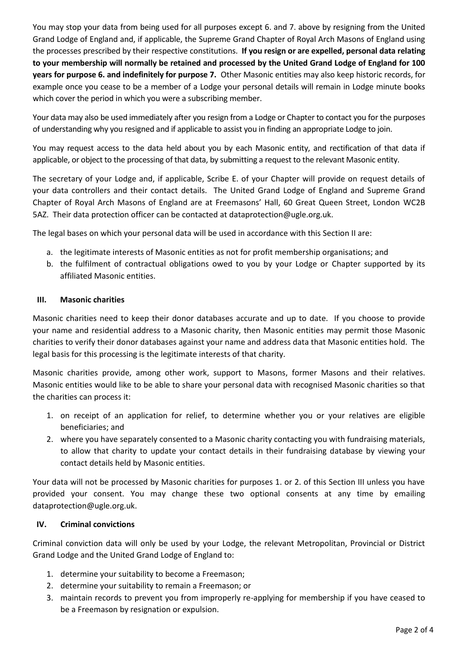You may stop your data from being used for all purposes except 6. and 7. above by resigning from the United Grand Lodge of England and, if applicable, the Supreme Grand Chapter of Royal Arch Masons of England using the processes prescribed by their respective constitutions. **If you resign or are expelled, personal data relating to your membership will normally be retained and processed by the United Grand Lodge of England for 100 years for purpose 6. and indefinitely for purpose 7.** Other Masonic entities may also keep historic records, for example once you cease to be a member of a Lodge your personal details will remain in Lodge minute books which cover the period in which you were a subscribing member.

Your data may also be used immediately after you resign from a Lodge or Chapter to contact you for the purposes of understanding why you resigned and if applicable to assist you in finding an appropriate Lodge to join.

You may request access to the data held about you by each Masonic entity, and rectification of that data if applicable, or object to the processing of that data, by submitting a request to the relevant Masonic entity.

The secretary of your Lodge and, if applicable, Scribe E. of your Chapter will provide on request details of your data controllers and their contact details. The United Grand Lodge of England and Supreme Grand Chapter of Royal Arch Masons of England are at Freemasons' Hall, 60 Great Queen Street, London WC2B 5AZ. Their data protection officer can be contacted at dataprotection@ugle.org.uk.

The legal bases on which your personal data will be used in accordance with this Section II are:

- a. the legitimate interests of Masonic entities as not for profit membership organisations; and
- b. the fulfilment of contractual obligations owed to you by your Lodge or Chapter supported by its affiliated Masonic entities.

### **III. Masonic charities**

Masonic charities need to keep their donor databases accurate and up to date. If you choose to provide your name and residential address to a Masonic charity, then Masonic entities may permit those Masonic charities to verify their donor databases against your name and address data that Masonic entities hold. The legal basis for this processing is the legitimate interests of that charity.

Masonic charities provide, among other work, support to Masons, former Masons and their relatives. Masonic entities would like to be able to share your personal data with recognised Masonic charities so that the charities can process it:

- 1. on receipt of an application for relief, to determine whether you or your relatives are eligible beneficiaries; and
- 2. where you have separately consented to a Masonic charity contacting you with fundraising materials, to allow that charity to update your contact details in their fundraising database by viewing your contact details held by Masonic entities.

Your data will not be processed by Masonic charities for purposes 1. or 2. of this Section III unless you have provided your consent. You may change these two optional consents at any time by emailing dataprotection@ugle.org.uk.

### **IV. Criminal convictions**

Criminal conviction data will only be used by your Lodge, the relevant Metropolitan, Provincial or District Grand Lodge and the United Grand Lodge of England to:

- 1. determine your suitability to become a Freemason;
- 2. determine your suitability to remain a Freemason; or
- 3. maintain records to prevent you from improperly re-applying for membership if you have ceased to be a Freemason by resignation or expulsion.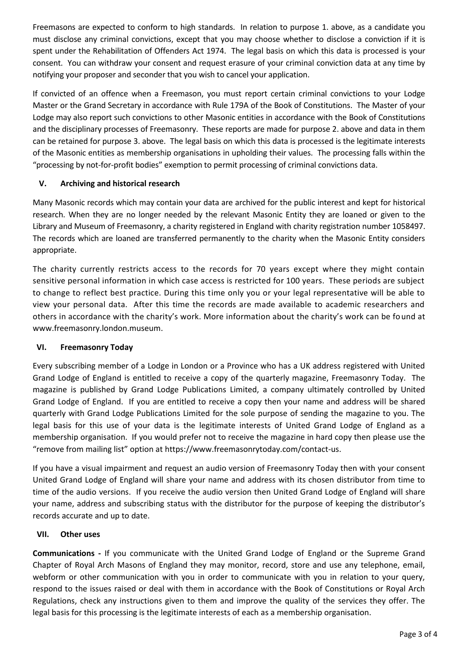Freemasons are expected to conform to high standards. In relation to purpose 1. above, as a candidate you must disclose any criminal convictions, except that you may choose whether to disclose a conviction if it is spent under the Rehabilitation of Offenders Act 1974. The legal basis on which this data is processed is your consent. You can withdraw your consent and request erasure of your criminal conviction data at any time by notifying your proposer and seconder that you wish to cancel your application.

If convicted of an offence when a Freemason, you must report certain criminal convictions to your Lodge Master or the Grand Secretary in accordance with Rule 179A of the Book of Constitutions. The Master of your Lodge may also report such convictions to other Masonic entities in accordance with the Book of Constitutions and the disciplinary processes of Freemasonry. These reports are made for purpose 2. above and data in them can be retained for purpose 3. above. The legal basis on which this data is processed is the legitimate interests of the Masonic entities as membership organisations in upholding their values. The processing falls within the "processing by not-for-profit bodies" exemption to permit processing of criminal convictions data.

## **V. Archiving and historical research**

Many Masonic records which may contain your data are archived for the public interest and kept for historical research. When they are no longer needed by the relevant Masonic Entity they are loaned or given to the Library and Museum of Freemasonry, a charity registered in England with charity registration number 1058497. The records which are loaned are transferred permanently to the charity when the Masonic Entity considers appropriate.

The charity currently restricts access to the records for 70 years except where they might contain sensitive personal information in which case access is restricted for 100 years. These periods are subject to change to reflect best practice. During this time only you or your legal representative will be able to view your personal data. After this time the records are made available to academic researchers and others in accordance with the charity's work. More information about the charity's work can be found at [www.freemasonry.london.museum.](http://www.freemasonry.london.museum/)

### **VI. Freemasonry Today**

Every subscribing member of a Lodge in London or a Province who has a UK address registered with United Grand Lodge of England is entitled to receive a copy of the quarterly magazine, Freemasonry Today. The magazine is published by Grand Lodge Publications Limited, a company ultimately controlled by United Grand Lodge of England. If you are entitled to receive a copy then your name and address will be shared quarterly with Grand Lodge Publications Limited for the sole purpose of sending the magazine to you. The legal basis for this use of your data is the legitimate interests of United Grand Lodge of England as a membership organisation. If you would prefer not to receive the magazine in hard copy then please use the "remove from mailing list" option at [https://www.freemasonrytoday.com/contact-us.](https://www.freemasonrytoday.com/contact-us)

If you have a visual impairment and request an audio version of Freemasonry Today then with your consent United Grand Lodge of England will share your name and address with its chosen distributor from time to time of the audio versions. If you receive the audio version then United Grand Lodge of England will share your name, address and subscribing status with the distributor for the purpose of keeping the distributor's records accurate and up to date.

### **VII. Other uses**

**Communications -** If you communicate with the United Grand Lodge of England or the Supreme Grand Chapter of Royal Arch Masons of England they may monitor, record, store and use any telephone, email, webform or other communication with you in order to communicate with you in relation to your query, respond to the issues raised or deal with them in accordance with the Book of Constitutions or Royal Arch Regulations, check any instructions given to them and improve the quality of the services they offer. The legal basis for this processing is the legitimate interests of each as a membership organisation.